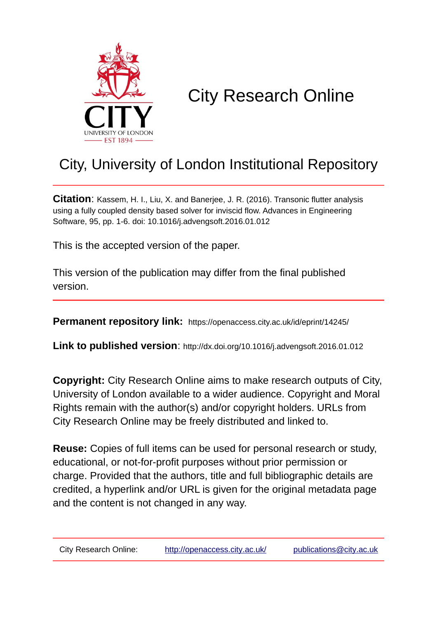

# City Research Online

## City, University of London Institutional Repository

**Citation**: Kassem, H. I., Liu, X. and Banerjee, J. R. (2016). Transonic flutter analysis using a fully coupled density based solver for inviscid flow. Advances in Engineering Software, 95, pp. 1-6. doi: 10.1016/j.advengsoft.2016.01.012

This is the accepted version of the paper.

This version of the publication may differ from the final published version.

**Permanent repository link:** https://openaccess.city.ac.uk/id/eprint/14245/

**Link to published version**: http://dx.doi.org/10.1016/j.advengsoft.2016.01.012

**Copyright:** City Research Online aims to make research outputs of City, University of London available to a wider audience. Copyright and Moral Rights remain with the author(s) and/or copyright holders. URLs from City Research Online may be freely distributed and linked to.

**Reuse:** Copies of full items can be used for personal research or study, educational, or not-for-profit purposes without prior permission or charge. Provided that the authors, title and full bibliographic details are credited, a hyperlink and/or URL is given for the original metadata page and the content is not changed in any way.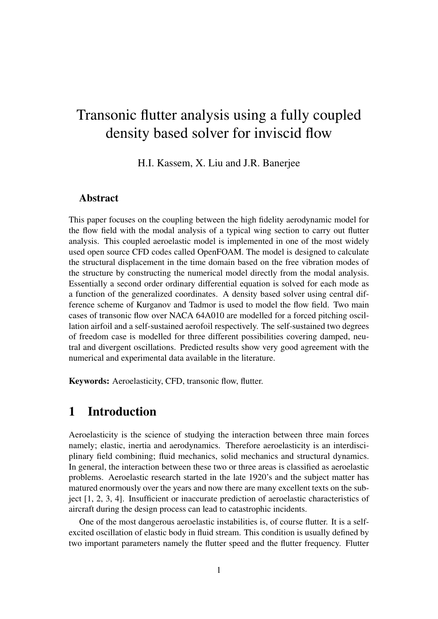## Transonic flutter analysis using a fully coupled density based solver for inviscid flow

H.I. Kassem, X. Liu and J.R. Banerjee

#### Abstract

This paper focuses on the coupling between the high fidelity aerodynamic model for the flow field with the modal analysis of a typical wing section to carry out flutter analysis. This coupled aeroelastic model is implemented in one of the most widely used open source CFD codes called OpenFOAM. The model is designed to calculate the structural displacement in the time domain based on the free vibration modes of the structure by constructing the numerical model directly from the modal analysis. Essentially a second order ordinary differential equation is solved for each mode as a function of the generalized coordinates. A density based solver using central difference scheme of Kurganov and Tadmor is used to model the flow field. Two main cases of transonic flow over NACA 64A010 are modelled for a forced pitching oscillation airfoil and a self-sustained aerofoil respectively. The self-sustained two degrees of freedom case is modelled for three different possibilities covering damped, neutral and divergent oscillations. Predicted results show very good agreement with the numerical and experimental data available in the literature.

Keywords: Aeroelasticity, CFD, transonic flow, flutter.

## 1 Introduction

Aeroelasticity is the science of studying the interaction between three main forces namely; elastic, inertia and aerodynamics. Therefore aeroelasticity is an interdisciplinary field combining; fluid mechanics, solid mechanics and structural dynamics. In general, the interaction between these two or three areas is classified as aeroelastic problems. Aeroelastic research started in the late 1920's and the subject matter has matured enormously over the years and now there are many excellent texts on the subject [1, 2, 3, 4]. Insufficient or inaccurate prediction of aeroelastic characteristics of aircraft during the design process can lead to catastrophic incidents.

One of the most dangerous aeroelastic instabilities is, of course flutter. It is a selfexcited oscillation of elastic body in fluid stream. This condition is usually defined by two important parameters namely the flutter speed and the flutter frequency. Flutter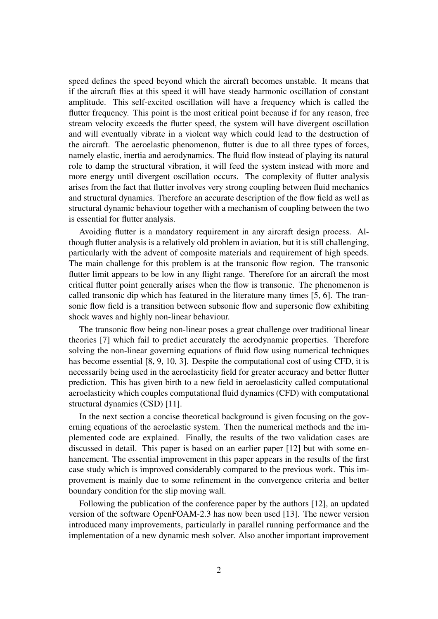speed defines the speed beyond which the aircraft becomes unstable. It means that if the aircraft flies at this speed it will have steady harmonic oscillation of constant amplitude. This self-excited oscillation will have a frequency which is called the flutter frequency. This point is the most critical point because if for any reason, free stream velocity exceeds the flutter speed, the system will have divergent oscillation and will eventually vibrate in a violent way which could lead to the destruction of the aircraft. The aeroelastic phenomenon, flutter is due to all three types of forces, namely elastic, inertia and aerodynamics. The fluid flow instead of playing its natural role to damp the structural vibration, it will feed the system instead with more and more energy until divergent oscillation occurs. The complexity of flutter analysis arises from the fact that flutter involves very strong coupling between fluid mechanics and structural dynamics. Therefore an accurate description of the flow field as well as structural dynamic behaviour together with a mechanism of coupling between the two is essential for flutter analysis.

Avoiding flutter is a mandatory requirement in any aircraft design process. Although flutter analysis is a relatively old problem in aviation, but it is still challenging, particularly with the advent of composite materials and requirement of high speeds. The main challenge for this problem is at the transonic flow region. The transonic flutter limit appears to be low in any flight range. Therefore for an aircraft the most critical flutter point generally arises when the flow is transonic. The phenomenon is called transonic dip which has featured in the literature many times [5, 6]. The transonic flow field is a transition between subsonic flow and supersonic flow exhibiting shock waves and highly non-linear behaviour.

The transonic flow being non-linear poses a great challenge over traditional linear theories [7] which fail to predict accurately the aerodynamic properties. Therefore solving the non-linear governing equations of fluid flow using numerical techniques has become essential [8, 9, 10, 3]. Despite the computational cost of using CFD, it is necessarily being used in the aeroelasticity field for greater accuracy and better flutter prediction. This has given birth to a new field in aeroelasticity called computational aeroelasticity which couples computational fluid dynamics (CFD) with computational structural dynamics (CSD) [11].

In the next section a concise theoretical background is given focusing on the governing equations of the aeroelastic system. Then the numerical methods and the implemented code are explained. Finally, the results of the two validation cases are discussed in detail. This paper is based on an earlier paper [12] but with some enhancement. The essential improvement in this paper appears in the results of the first case study which is improved considerably compared to the previous work. This improvement is mainly due to some refinement in the convergence criteria and better boundary condition for the slip moving wall.

Following the publication of the conference paper by the authors [12], an updated version of the software OpenFOAM-2.3 has now been used [13]. The newer version introduced many improvements, particularly in parallel running performance and the implementation of a new dynamic mesh solver. Also another important improvement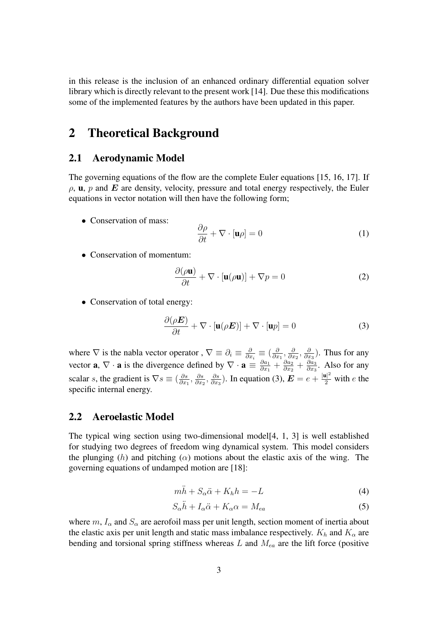in this release is the inclusion of an enhanced ordinary differential equation solver library which is directly relevant to the present work [14]. Due these this modifications some of the implemented features by the authors have been updated in this paper.

## 2 Theoretical Background

#### 2.1 Aerodynamic Model

The governing equations of the flow are the complete Euler equations [15, 16, 17]. If  $\rho$ , **u**,  $p$  and  $E$  are density, velocity, pressure and total energy respectively, the Euler equations in vector notation will then have the following form;

• Conservation of mass:

$$
\frac{\partial \rho}{\partial t} + \nabla \cdot [\mathbf{u}\rho] = 0 \tag{1}
$$

• Conservation of momentum:

$$
\frac{\partial(\rho \mathbf{u})}{\partial t} + \nabla \cdot [\mathbf{u}(\rho \mathbf{u})] + \nabla p = 0
$$
 (2)

• Conservation of total energy:

$$
\frac{\partial(\rho \mathbf{E})}{\partial t} + \nabla \cdot [\mathbf{u}(\rho \mathbf{E})] + \nabla \cdot [\mathbf{u}p] = 0 \tag{3}
$$

where  $\nabla$  is the nabla vector operator,  $\nabla \equiv \partial_i \equiv \frac{\partial}{\partial x_i}$  $\frac{\partial}{\partial x_i} \equiv \big(\frac{\delta}{\partial x}$  $\frac{\partial}{\partial x_1}, \frac{\partial}{\partial x_2}$  $\frac{\partial}{\partial x_2}, \frac{\partial}{\partial x}$  $\frac{\partial}{\partial x_3}$ ). Thus for any vector **a**,  $\nabla \cdot \mathbf{a}$  is the divergence defined by  $\nabla \cdot \mathbf{a} \equiv \frac{\partial a_1}{\partial x_1}$  $\frac{\partial a_1}{\partial x_1}+\frac{\partial a_2}{\partial x_2}$  $\frac{\partial a_2}{\partial x_2}+\frac{\partial a_3}{\partial x_3}$  $\frac{\partial a_3}{\partial x_3}$ . Also for any scalar s, the gradient is  $\nabla s \equiv \left(\frac{\partial s}{\partial x}\right)$  $\frac{\partial s}{\partial x_1}, \frac{\partial s}{\partial x_2}$  $\frac{\partial s}{\partial x_2}, \frac{\partial s}{\partial x_3}$  $\frac{\partial s}{\partial x_3}$ ). In equation (3),  $\mathbf{E} = e + \frac{|\mathbf{u}|^2}{2}$  with e the specific internal energy.

#### 2.2 Aeroelastic Model

The typical wing section using two-dimensional model[4, 1, 3] is well established for studying two degrees of freedom wing dynamical system. This model considers the plunging (h) and pitching ( $\alpha$ ) motions about the elastic axis of the wing. The governing equations of undamped motion are [18]:

$$
m\ddot{h} + S_{\alpha}\ddot{\alpha} + K_{h}h = -L
$$
\n(4)

$$
S_{\alpha}\ddot{h} + I_{\alpha}\ddot{\alpha} + K_{\alpha}\alpha = M_{ea}
$$
 (5)

where  $m, I_{\alpha}$  and  $S_{\alpha}$  are aerofoil mass per unit length, section moment of inertia about the elastic axis per unit length and static mass imbalance respectively.  $K_h$  and  $K_\alpha$  are bending and torsional spring stiffness whereas  $L$  and  $M_{ea}$  are the lift force (positive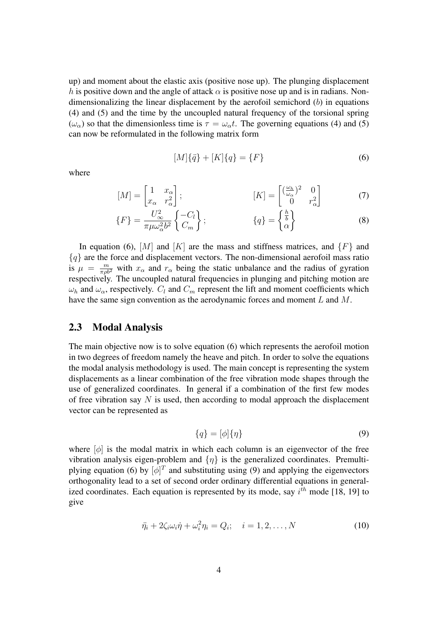up) and moment about the elastic axis (positive nose up). The plunging displacement h is positive down and the angle of attack  $\alpha$  is positive nose up and is in radians. Nondimensionalizing the linear displacement by the aerofoil semichord  $(b)$  in equations (4) and (5) and the time by the uncoupled natural frequency of the torsional spring ( $\omega_{\alpha}$ ) so that the dimensionless time is  $\tau = \omega_{\alpha} t$ . The governing equations (4) and (5) can now be reformulated in the following matrix form

$$
[M]{\ddot{q}} + [K]{q} = {F} \tag{6}
$$

where

$$
[M] = \begin{bmatrix} 1 & x_{\alpha} \\ x_{\alpha} & r_{\alpha}^2 \end{bmatrix}; \qquad [K] = \begin{bmatrix} \left(\frac{\omega_h}{\omega_{\alpha}}\right)^2 & 0 \\ 0 & r_{\alpha}^2 \end{bmatrix}
$$
(7)

$$
\{F\} = \frac{U_{\infty}^2}{\pi \mu \omega_{\alpha}^2 b^2} \left\{ \frac{-C_l}{C_m} \right\};\qquad \{q\} = \begin{Bmatrix} \frac{h}{b} \\ \alpha \end{Bmatrix}
$$
 (8)

In equation (6),  $[M]$  and  $[K]$  are the mass and stiffness matrices, and  $\{F\}$  and  ${q}$  are the force and displacement vectors. The non-dimensional aerofoil mass ratio is  $\mu = \frac{m}{\pi \rho b^2}$  with  $x_\alpha$  and  $r_\alpha$  being the static unbalance and the radius of gyration respectively. The uncoupled natural frequencies in plunging and pitching motion are  $\omega_h$  and  $\omega_\alpha$ , respectively.  $C_l$  and  $C_m$  represent the lift and moment coefficients which have the same sign convention as the aerodynamic forces and moment L and M.

#### 2.3 Modal Analysis

The main objective now is to solve equation (6) which represents the aerofoil motion in two degrees of freedom namely the heave and pitch. In order to solve the equations the modal analysis methodology is used. The main concept is representing the system displacements as a linear combination of the free vibration mode shapes through the use of generalized coordinates. In general if a combination of the first few modes of free vibration say  $N$  is used, then according to modal approach the displacement vector can be represented as

$$
\{q\} = [\phi]\{\eta\} \tag{9}
$$

where  $[\phi]$  is the modal matrix in which each column is an eigenvector of the free vibration analysis eigen-problem and  $\{\eta\}$  is the generalized coordinates. Premultiplying equation (6) by  $[\phi]^T$  and substituting using (9) and applying the eigenvectors orthogonality lead to a set of second order ordinary differential equations in generalized coordinates. Each equation is represented by its mode, say  $i^{th}$  mode [18, 19] to give

$$
\ddot{\eta}_i + 2\zeta_i \omega_i \dot{\eta} + \omega_i^2 \eta_i = Q_i; \quad i = 1, 2, \dots, N
$$
\n(10)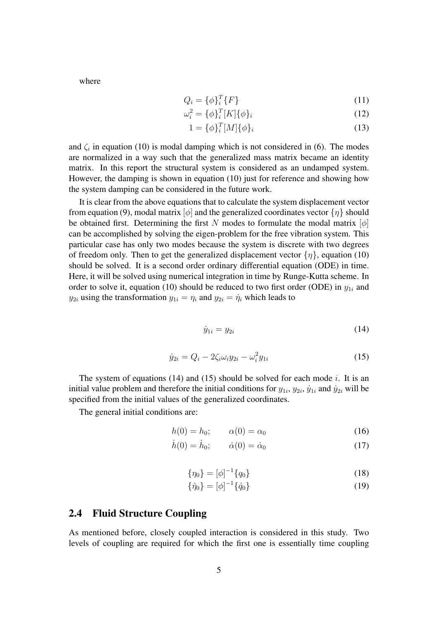where

$$
Q_i = \{\phi\}_i^T \{F\} \tag{11}
$$

$$
\omega_i^2 = \{\phi_i\}_i^T[K]\{\phi_i\} \tag{12}
$$

$$
1 = \{\phi\}_i^T[M]\{\phi\}_i
$$
 (13)

and  $\zeta_i$  in equation (10) is modal damping which is not considered in (6). The modes are normalized in a way such that the generalized mass matrix became an identity matrix. In this report the structural system is considered as an undamped system. However, the damping is shown in equation (10) just for reference and showing how the system damping can be considered in the future work.

It is clear from the above equations that to calculate the system displacement vector from equation (9), modal matrix  $[\phi]$  and the generalized coordinates vector  $\{\eta\}$  should be obtained first. Determining the first N modes to formulate the modal matrix  $[\phi]$ can be accomplished by solving the eigen-problem for the free vibration system. This particular case has only two modes because the system is discrete with two degrees of freedom only. Then to get the generalized displacement vector  $\{\eta\}$ , equation (10) should be solved. It is a second order ordinary differential equation (ODE) in time. Here, it will be solved using numerical integration in time by Runge-Kutta scheme. In order to solve it, equation (10) should be reduced to two first order (ODE) in  $y_{1i}$  and  $y_{2i}$  using the transformation  $y_{1i} = \eta_i$  and  $y_{2i} = \dot{\eta}_i$  which leads to

$$
\dot{y}_{1i} = y_{2i} \tag{14}
$$

$$
\dot{y}_{2i} = Q_i - 2\zeta_i \omega_i y_{2i} - \omega_i^2 y_{1i}
$$
 (15)

The system of equations (14) and (15) should be solved for each mode i. It is an initial value problem and therefore the initial conditions for  $y_{1i}$ ,  $y_{2i}$ ,  $\dot{y}_{1i}$  and  $\dot{y}_{2i}$  will be specified from the initial values of the generalized coordinates.

The general initial conditions are:

$$
h(0) = h_0; \qquad \alpha(0) = \alpha_0 \tag{16}
$$

$$
h(0) = h_0; \qquad \dot{\alpha}(0) = \dot{\alpha}_0 \tag{17}
$$

$$
\{\eta_0\} = [\phi]^{-1}\{q_0\} \tag{18}
$$

$$
\{\dot{\eta}_0\} = [\phi]^{-1}\{\dot{q}_0\} \tag{19}
$$

#### 2.4 Fluid Structure Coupling

As mentioned before, closely coupled interaction is considered in this study. Two levels of coupling are required for which the first one is essentially time coupling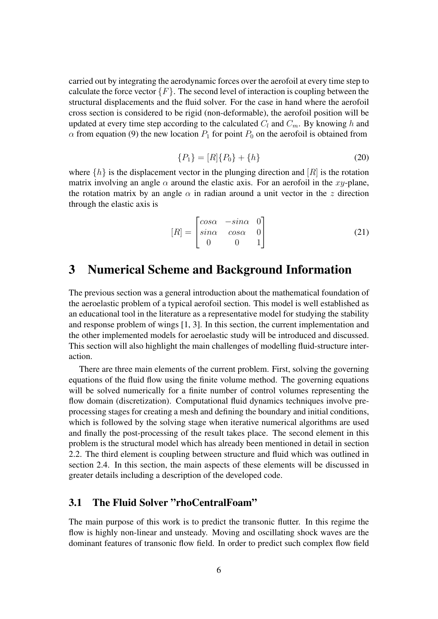carried out by integrating the aerodynamic forces over the aerofoil at every time step to calculate the force vector  ${F}$ . The second level of interaction is coupling between the structural displacements and the fluid solver. For the case in hand where the aerofoil cross section is considered to be rigid (non-deformable), the aerofoil position will be updated at every time step according to the calculated  $C_l$  and  $C_m$ . By knowing h and  $\alpha$  from equation (9) the new location  $P_1$  for point  $P_0$  on the aerofoil is obtained from

$$
\{P_1\} = [R]\{P_0\} + \{h\} \tag{20}
$$

where  $\{h\}$  is the displacement vector in the plunging direction and  $[R]$  is the rotation matrix involving an angle  $\alpha$  around the elastic axis. For an aerofoil in the xy-plane, the rotation matrix by an angle  $\alpha$  in radian around a unit vector in the z direction through the elastic axis is

$$
[R] = \begin{bmatrix} \cos\alpha & -\sin\alpha & 0\\ \sin\alpha & \cos\alpha & 0\\ 0 & 0 & 1 \end{bmatrix}
$$
 (21)

## 3 Numerical Scheme and Background Information

The previous section was a general introduction about the mathematical foundation of the aeroelastic problem of a typical aerofoil section. This model is well established as an educational tool in the literature as a representative model for studying the stability and response problem of wings [1, 3]. In this section, the current implementation and the other implemented models for aeroelastic study will be introduced and discussed. This section will also highlight the main challenges of modelling fluid-structure interaction.

There are three main elements of the current problem. First, solving the governing equations of the fluid flow using the finite volume method. The governing equations will be solved numerically for a finite number of control volumes representing the flow domain (discretization). Computational fluid dynamics techniques involve preprocessing stages for creating a mesh and defining the boundary and initial conditions, which is followed by the solving stage when iterative numerical algorithms are used and finally the post-processing of the result takes place. The second element in this problem is the structural model which has already been mentioned in detail in section 2.2. The third element is coupling between structure and fluid which was outlined in section 2.4. In this section, the main aspects of these elements will be discussed in greater details including a description of the developed code.

#### 3.1 The Fluid Solver "rhoCentralFoam"

The main purpose of this work is to predict the transonic flutter. In this regime the flow is highly non-linear and unsteady. Moving and oscillating shock waves are the dominant features of transonic flow field. In order to predict such complex flow field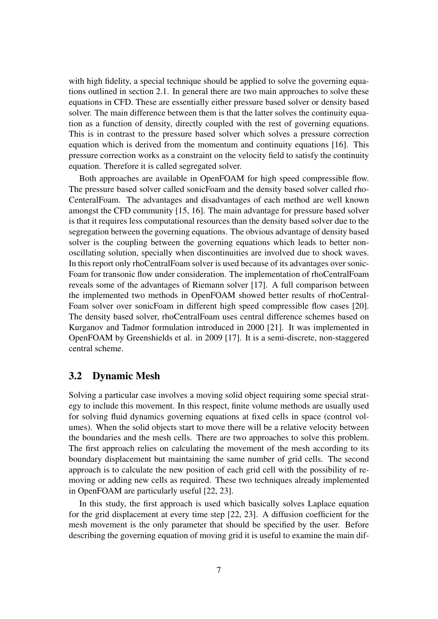with high fidelity, a special technique should be applied to solve the governing equations outlined in section 2.1. In general there are two main approaches to solve these equations in CFD. These are essentially either pressure based solver or density based solver. The main difference between them is that the latter solves the continuity equation as a function of density, directly coupled with the rest of governing equations. This is in contrast to the pressure based solver which solves a pressure correction equation which is derived from the momentum and continuity equations [16]. This pressure correction works as a constraint on the velocity field to satisfy the continuity equation. Therefore it is called segregated solver.

Both approaches are available in OpenFOAM for high speed compressible flow. The pressure based solver called sonicFoam and the density based solver called rho-CenteralFoam. The advantages and disadvantages of each method are well known amongst the CFD community [15, 16]. The main advantage for pressure based solver is that it requires less computational resources than the density based solver due to the segregation between the governing equations. The obvious advantage of density based solver is the coupling between the governing equations which leads to better nonoscillating solution, specially when discontinuities are involved due to shock waves. In this report only rhoCentralFoam solver is used because of its advantages over sonic-Foam for transonic flow under consideration. The implementation of rhoCentralFoam reveals some of the advantages of Riemann solver [17]. A full comparison between the implemented two methods in OpenFOAM showed better results of rhoCentral-Foam solver over sonicFoam in different high speed compressible flow cases [20]. The density based solver, rhoCentralFoam uses central difference schemes based on Kurganov and Tadmor formulation introduced in 2000 [21]. It was implemented in OpenFOAM by Greenshields et al. in 2009 [17]. It is a semi-discrete, non-staggered central scheme.

#### 3.2 Dynamic Mesh

Solving a particular case involves a moving solid object requiring some special strategy to include this movement. In this respect, finite volume methods are usually used for solving fluid dynamics governing equations at fixed cells in space (control volumes). When the solid objects start to move there will be a relative velocity between the boundaries and the mesh cells. There are two approaches to solve this problem. The first approach relies on calculating the movement of the mesh according to its boundary displacement but maintaining the same number of grid cells. The second approach is to calculate the new position of each grid cell with the possibility of removing or adding new cells as required. These two techniques already implemented in OpenFOAM are particularly useful [22, 23].

In this study, the first approach is used which basically solves Laplace equation for the grid displacement at every time step [22, 23]. A diffusion coefficient for the mesh movement is the only parameter that should be specified by the user. Before describing the governing equation of moving grid it is useful to examine the main dif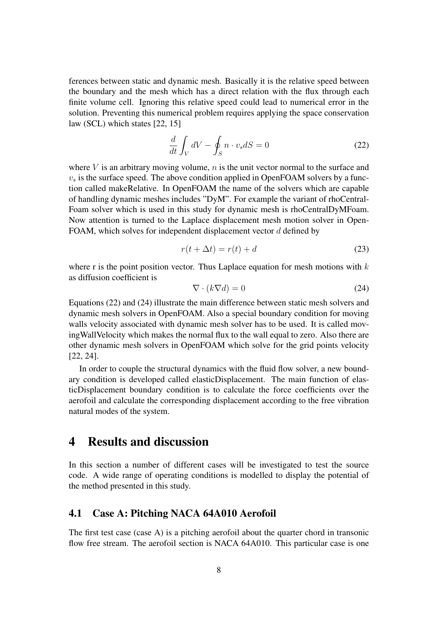ferences between static and dynamic mesh. Basically it is the relative speed between the boundary and the mesh which has a direct relation with the flux through each finite volume cell. Ignoring this relative speed could lead to numerical error in the solution. Preventing this numerical problem requires applying the space conservation law (SCL) which states [22, 15]

$$
\frac{d}{dt} \int_{V} dV - \oint_{S} n \cdot v_{s} dS = 0
$$
\n(22)

where  $V$  is an arbitrary moving volume,  $n$  is the unit vector normal to the surface and  $v<sub>s</sub>$  is the surface speed. The above condition applied in OpenFOAM solvers by a function called makeRelative. In OpenFOAM the name of the solvers which are capable of handling dynamic meshes includes "DyM". For example the variant of rhoCentral-Foam solver which is used in this study for dynamic mesh is rhoCentralDyMFoam. Now attention is turned to the Laplace displacement mesh motion solver in Open-FOAM, which solves for independent displacement vector d defined by

$$
r(t + \Delta t) = r(t) + d \tag{23}
$$

where r is the point position vector. Thus Laplace equation for mesh motions with  $k$ as diffusion coefficient is

$$
\nabla \cdot (k \nabla d) = 0 \tag{24}
$$

Equations (22) and (24) illustrate the main difference between static mesh solvers and dynamic mesh solvers in OpenFOAM. Also a special boundary condition for moving walls velocity associated with dynamic mesh solver has to be used. It is called movingWallVelocity which makes the normal flux to the wall equal to zero. Also there are other dynamic mesh solvers in OpenFOAM which solve for the grid points velocity [22, 24].

In order to couple the structural dynamics with the fluid flow solver, a new boundary condition is developed called elasticDisplacement. The main function of elasticDisplacement boundary condition is to calculate the force coefficients over the aerofoil and calculate the corresponding displacement according to the free vibration natural modes of the system.

### 4 Results and discussion

In this section a number of different cases will be investigated to test the source code. A wide range of operating conditions is modelled to display the potential of the method presented in this study.

#### 4.1 Case A: Pitching NACA 64A010 Aerofoil

The first test case (case A) is a pitching aerofoil about the quarter chord in transonic flow free stream. The aerofoil section is NACA 64A010. This particular case is one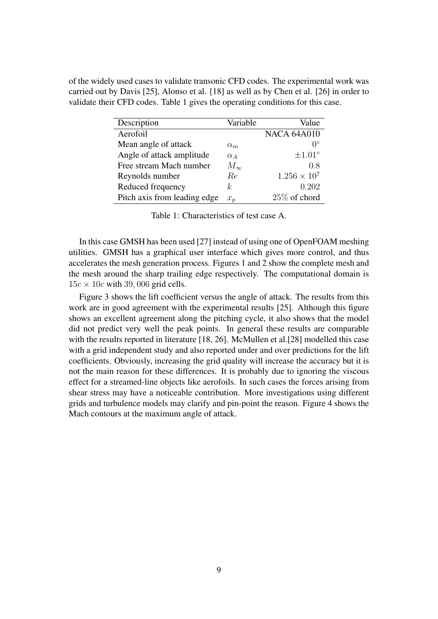of the widely used cases to validate transonic CFD codes. The experimental work was carried out by Davis [25], Alonso et al. [18] as well as by Chen et al. [26] in order to validate their CFD codes. Table 1 gives the operating conditions for this case.

| Description                  | Variable     | Value               |
|------------------------------|--------------|---------------------|
| Aerofoil                     |              | <b>NACA 64A010</b>  |
| Mean angle of attack         | $\alpha_m$   | $\Omega^{\circ}$    |
| Angle of attack amplitude    | $\alpha_A$   | $\pm 1.01^{\circ}$  |
| Free stream Mach number      | $M_{\infty}$ | 0.8                 |
| Reynolds number              | Re           | $1.256 \times 10^7$ |
| Reduced frequency            | k            | 0.202               |
| Pitch axis from leading edge | $x_n$        | $25\%$ of chord     |

Table 1: Characteristics of test case A.

In this case GMSH has been used [27] instead of using one of OpenFOAM meshing utilities. GMSH has a graphical user interface which gives more control, and thus accelerates the mesh generation process. Figures 1 and 2 show the complete mesh and the mesh around the sharp trailing edge respectively. The computational domain is  $15c \times 10c$  with 39,006 grid cells.

Figure 3 shows the lift coefficient versus the angle of attack. The results from this work are in good agreement with the experimental results [25]. Although this figure shows an excellent agreement along the pitching cycle, it also shows that the model did not predict very well the peak points. In general these results are comparable with the results reported in literature [18, 26]. McMullen et al. [28] modelled this case with a grid independent study and also reported under and over predictions for the lift coefficients. Obviously, increasing the grid quality will increase the accuracy but it is not the main reason for these differences. It is probably due to ignoring the viscous effect for a streamed-line objects like aerofoils. In such cases the forces arising from shear stress may have a noticeable contribution. More investigations using different grids and turbulence models may clarify and pin-point the reason. Figure 4 shows the Mach contours at the maximum angle of attack.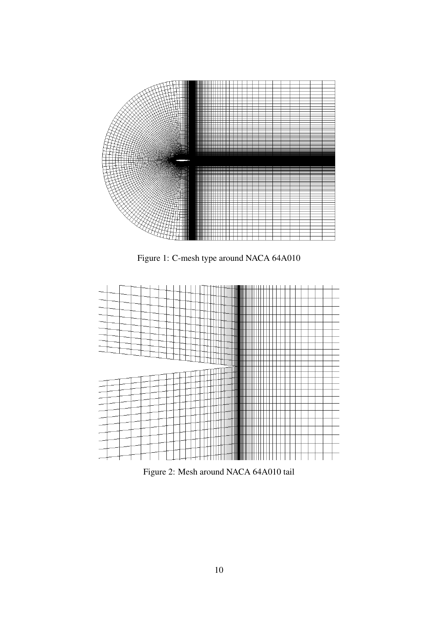

Figure 1: C-mesh type around NACA 64A010



Figure 2: Mesh around NACA 64A010 tail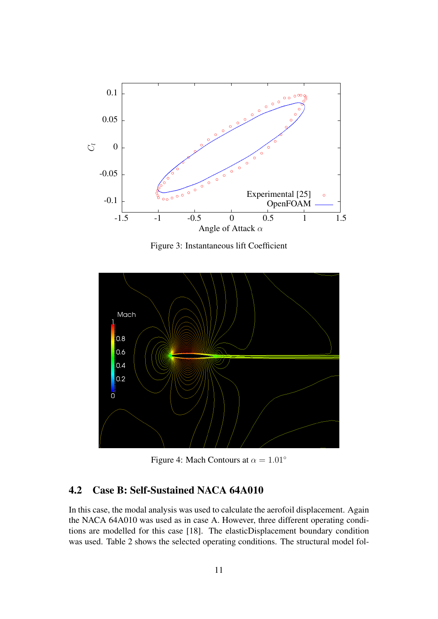

Figure 3: Instantaneous lift Coefficient



Figure 4: Mach Contours at  $\alpha = 1.01^\circ$ 

### 4.2 Case B: Self-Sustained NACA 64A010

In this case, the modal analysis was used to calculate the aerofoil displacement. Again the NACA 64A010 was used as in case A. However, three different operating conditions are modelled for this case [18]. The elasticDisplacement boundary condition was used. Table 2 shows the selected operating conditions. The structural model fol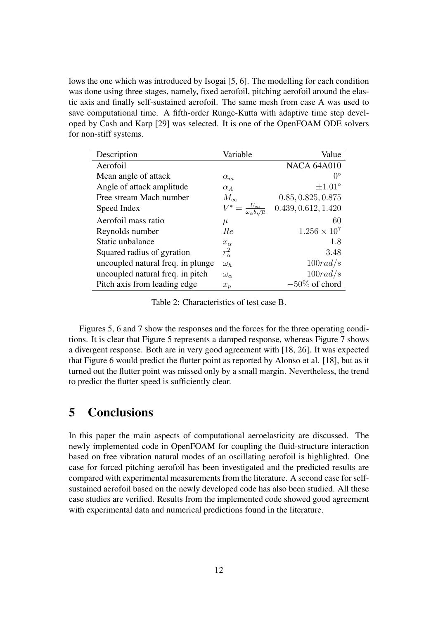lows the one which was introduced by Isogai [5, 6]. The modelling for each condition was done using three stages, namely, fixed aerofoil, pitching aerofoil around the elastic axis and finally self-sustained aerofoil. The same mesh from case A was used to save computational time. A fifth-order Runge-Kutta with adaptive time step developed by Cash and Karp [29] was selected. It is one of the OpenFOAM ODE solvers for non-stiff systems.

| Description                       | Variable                      | Value               |
|-----------------------------------|-------------------------------|---------------------|
| Aerofoil                          |                               | <b>NACA 64A010</b>  |
| Mean angle of attack              | $\alpha_m$                    | $0^{\circ}$         |
| Angle of attack amplitude         | $\alpha_A$                    | $\pm 1.01^{\circ}$  |
| Free stream Mach number           | $M_{\infty}$                  | 0.85, 0.825, 0.875  |
| Speed Index                       | $\frac{U_{\infty}}{\omega b}$ | 0.439, 0.612, 1.420 |
| Aerofoil mass ratio               | $\mu$                         | 60                  |
| Reynolds number                   | Re                            | $1.256 \times 10^7$ |
| Static unbalance                  | $x_{\alpha}$                  | 1.8                 |
| Squared radius of gyration        | $r_\alpha^2$                  | 3.48                |
| uncoupled natural freq. in plunge | $\omega_h$                    | 100 rad/s           |
| uncoupled natural freq. in pitch  | $\omega_{\alpha}$             | 100 rad/s           |
| Pitch axis from leading edge      | $x_p$                         | $-50\%$ of chord    |

Table 2: Characteristics of test case B.

Figures 5, 6 and 7 show the responses and the forces for the three operating conditions. It is clear that Figure 5 represents a damped response, whereas Figure 7 shows a divergent response. Both are in very good agreement with [18, 26]. It was expected that Figure 6 would predict the flutter point as reported by Alonso et al. [18], but as it turned out the flutter point was missed only by a small margin. Nevertheless, the trend to predict the flutter speed is sufficiently clear.

## 5 Conclusions

In this paper the main aspects of computational aeroelasticity are discussed. The newly implemented code in OpenFOAM for coupling the fluid-structure interaction based on free vibration natural modes of an oscillating aerofoil is highlighted. One case for forced pitching aerofoil has been investigated and the predicted results are compared with experimental measurements from the literature. A second case for selfsustained aerofoil based on the newly developed code has also been studied. All these case studies are verified. Results from the implemented code showed good agreement with experimental data and numerical predictions found in the literature.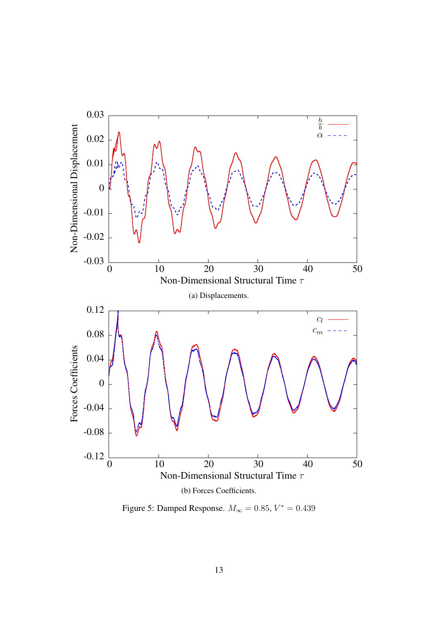

Figure 5: Damped Response.  $M_{\infty} = 0.85, V^* = 0.439$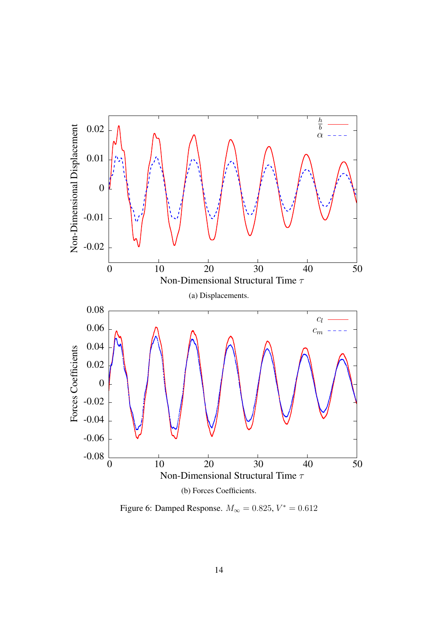

Figure 6: Damped Response.  $M_{\infty} = 0.825, V^* = 0.612$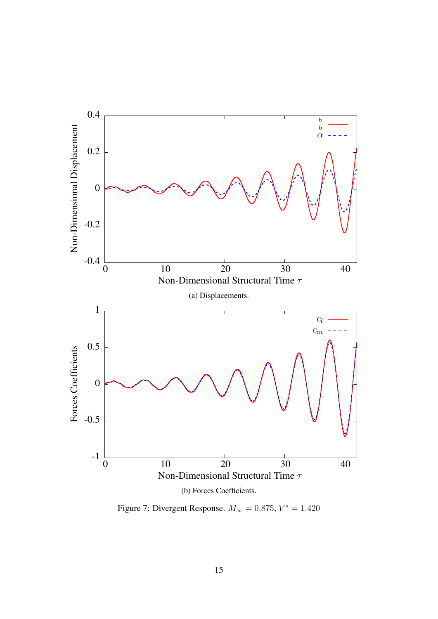

Figure 7: Divergent Response.  $M_{\infty} = 0.875, V^* = 1.420$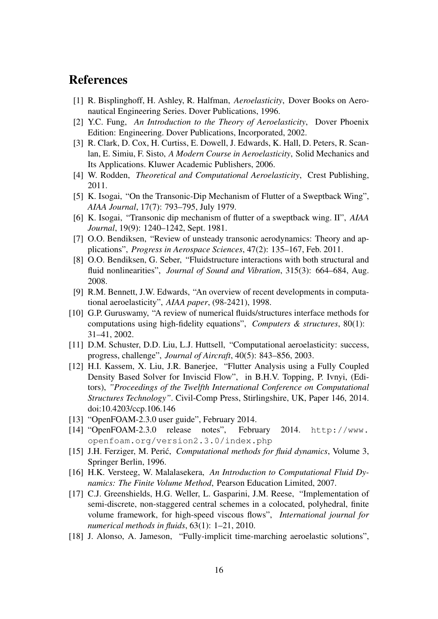## References

- [1] R. Bisplinghoff, H. Ashley, R. Halfman, *Aeroelasticity*, Dover Books on Aeronautical Engineering Series. Dover Publications, 1996.
- [2] Y.C. Fung, *An Introduction to the Theory of Aeroelasticity*, Dover Phoenix Edition: Engineering. Dover Publications, Incorporated, 2002.
- [3] R. Clark, D. Cox, H. Curtiss, E. Dowell, J. Edwards, K. Hall, D. Peters, R. Scanlan, E. Simiu, F. Sisto, *A Modern Course in Aeroelasticity*, Solid Mechanics and Its Applications. Kluwer Academic Publishers, 2006.
- [4] W. Rodden, *Theoretical and Computational Aeroelasticity*, Crest Publishing, 2011.
- [5] K. Isogai, "On the Transonic-Dip Mechanism of Flutter of a Sweptback Wing", *AIAA Journal*, 17(7): 793–795, July 1979.
- [6] K. Isogai, "Transonic dip mechanism of flutter of a sweptback wing. II", *AIAA Journal*, 19(9): 1240–1242, Sept. 1981.
- [7] O.O. Bendiksen, "Review of unsteady transonic aerodynamics: Theory and applications", *Progress in Aerospace Sciences*, 47(2): 135–167, Feb. 2011.
- [8] O.O. Bendiksen, G. Seber, "Fluidstructure interactions with both structural and fluid nonlinearities", *Journal of Sound and Vibration*, 315(3): 664–684, Aug. 2008.
- [9] R.M. Bennett, J.W. Edwards, "An overview of recent developments in computational aeroelasticity", *AIAA paper*, (98-2421), 1998.
- [10] G.P. Guruswamy, "A review of numerical fluids/structures interface methods for computations using high-fidelity equations", *Computers & structures*, 80(1): 31–41, 2002.
- [11] D.M. Schuster, D.D. Liu, L.J. Huttsell, "Computational aeroelasticity: success, progress, challenge", *Journal of Aircraft*, 40(5): 843–856, 2003.
- [12] H.I. Kassem, X. Liu, J.R. Banerjee, "Flutter Analysis using a Fully Coupled Density Based Solver for Inviscid Flow", in B.H.V. Topping, P. Ivnyi, (Editors), *"Proceedings of the Twelfth International Conference on Computational Structures Technology"*. Civil-Comp Press, Stirlingshire, UK, Paper 146, 2014. doi:10.4203/ccp.106.146
- [13] "OpenFOAM-2.3.0 user guide", February 2014.
- [14] "OpenFOAM-2.3.0 release notes", February 2014. http://www. openfoam.org/version2.3.0/index.php
- [15] J.H. Ferziger, M. Peric,´ *Computational methods for fluid dynamics*, Volume 3, Springer Berlin, 1996.
- [16] H.K. Versteeg, W. Malalasekera, *An Introduction to Computational Fluid Dynamics: The Finite Volume Method*, Pearson Education Limited, 2007.
- [17] C.J. Greenshields, H.G. Weller, L. Gasparini, J.M. Reese, "Implementation of semi-discrete, non-staggered central schemes in a colocated, polyhedral, finite volume framework, for high-speed viscous flows", *International journal for numerical methods in fluids*, 63(1): 1–21, 2010.
- [18] J. Alonso, A. Jameson, "Fully-implicit time-marching aeroelastic solutions",